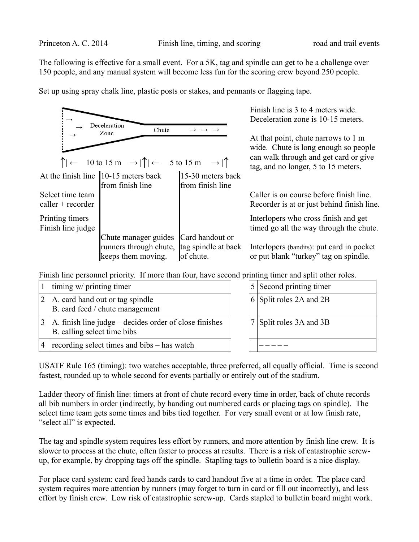The following is effective for a small event. For a 5K, tag and spindle can get to be a challenge over 150 people, and any manual system will become less fun for the scoring crew beyond 250 people.

Set up using spray chalk line, plastic posts or stakes, and pennants or flagging tape.

|                                                      | Deceleration<br>Chute                                                                                                                                         |                                       | Finish line is 3 to 4 meters wide.<br>Deceleration zone is 10-15 meters.                                                                                    |  |
|------------------------------------------------------|---------------------------------------------------------------------------------------------------------------------------------------------------------------|---------------------------------------|-------------------------------------------------------------------------------------------------------------------------------------------------------------|--|
|                                                      | Zone<br>$\uparrow \leftarrow 10 \text{ to } 15 \text{ m } \rightarrow \uparrow \uparrow \leftarrow 5 \text{ to } 15 \text{ m } \rightarrow \uparrow \uparrow$ |                                       | At that point, chute narrows to 1 m<br>wide. Chute is long enough so people<br>can walk through and get card or give<br>tag, and no longer, 5 to 15 meters. |  |
|                                                      | At the finish line $\left 10\text{-}15\right $ meters back<br>from finish line                                                                                | 15-30 meters back<br>from finish line |                                                                                                                                                             |  |
| Select time team<br>$\text{caller} + \text{reorder}$ |                                                                                                                                                               |                                       | Caller is on course before finish line.<br>Recorder is at or just behind finish line.                                                                       |  |
| Printing timers<br>Finish line judge                 |                                                                                                                                                               |                                       | Interlopers who cross finish and get<br>timed go all the way through the chute.                                                                             |  |
|                                                      | Chute manager guides<br>runners through chute, tag spindle at back<br>keeps them moving.                                                                      | Card handout or<br>of chute.          | Interlopers (bandits): put card in pocket<br>or put blank "turkey" tag on spindle.                                                                          |  |

Finish line personnel priority. If more than four, have second printing timer and split other roles.

|   | timing w/ printing timer                                                              |  | 5 Second printing timer     |
|---|---------------------------------------------------------------------------------------|--|-----------------------------|
|   | A. card hand out or tag spindle<br>B. card feed / chute management                    |  | 6 Split roles 2A and 2B     |
|   | A. finish line judge – decides order of close finishes<br>B. calling select time bibs |  | $ 7 $ Split roles 3A and 3B |
| 4 | recording select times and bibs – has watch                                           |  |                             |

USATF Rule 165 (timing): two watches acceptable, three preferred, all equally official. Time is second fastest, rounded up to whole second for events partially or entirely out of the stadium.

Ladder theory of finish line: timers at front of chute record every time in order, back of chute records all bib numbers in order (indirectly, by handing out numbered cards or placing tags on spindle). The select time team gets some times and bibs tied together. For very small event or at low finish rate, "select all" is expected.

The tag and spindle system requires less effort by runners, and more attention by finish line crew. It is slower to process at the chute, often faster to process at results. There is a risk of catastrophic screwup, for example, by dropping tags off the spindle. Stapling tags to bulletin board is a nice display.

For place card system: card feed hands cards to card handout five at a time in order. The place card system requires more attention by runners (may forget to turn in card or fill out incorrectly), and less effort by finish crew. Low risk of catastrophic screw-up. Cards stapled to bulletin board might work.